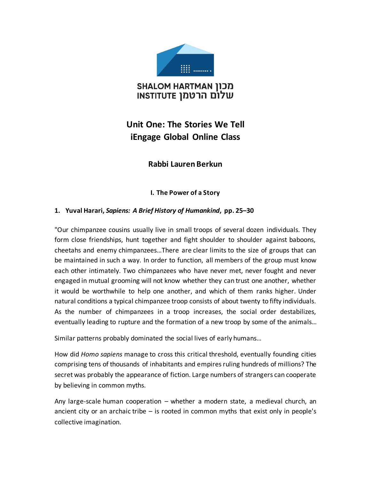

# **Unit One: The Stories We Tell iEngage Global Online Class**

**Rabbi Lauren Berkun**

**I. The Power of a Story**

### **1. Yuval Harari,** *Sapiens: A Brief History of Humankind***, pp. 25–30**

"Our chimpanzee cousins usually live in small troops of several dozen individuals. They form close friendships, hunt together and fight shoulder to shoulder against baboons, cheetahs and enemy chimpanzees…There are clear limits to the size of groups that can be maintained in such a way. In order to function, all members of the group must know each other intimately. Two chimpanzees who have never met, never fought and never engaged in mutual grooming will not know whether they can trust one another, whether it would be worthwhile to help one another, and which of them ranks higher. Under natural conditions a typical chimpanzee troop consists of about twenty to fifty individuals. As the number of chimpanzees in a troop increases, the social order destabilizes, eventually leading to rupture and the formation of a new troop by some of the animals…

Similar patterns probably dominated the social lives of early humans…

How did *Homo sapiens* manage to cross this critical threshold, eventually founding cities comprising tens of thousands of inhabitants and empires ruling hundreds of millions? The secret was probably the appearance of fiction. Large numbers of strangers can cooperate by believing in common myths.

Any large-scale human cooperation – whether a modern state, a medieval church, an ancient city or an archaic tribe – is rooted in common myths that exist only in people's collective imagination.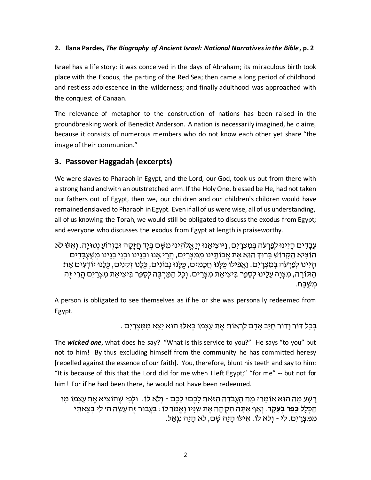#### **2. Ilana Pardes,** *The Biography of Ancient Israel: National Narratives in the Bible***, p. 2**

Israel has a life story: it was conceived in the days of Abraham; its miraculous birth took place with the Exodus, the parting of the Red Sea; then came a long period of childhood and restless adolescence in the wilderness; and finally adulthood was approached with the conquest of Canaan.

The relevance of metaphor to the construction of nations has been raised in the groundbreaking work of Benedict Anderson. A nation is necessarily imagined, he claims, because it consists of numerous members who do not know each other yet share "the image of their communion."

## **3. Passover Haggadah (excerpts)**

We were slaves to Pharaoh in Egypt, and the Lord, our God, took us out from there with a strong hand and with an outstretched arm. If the Holy One, blessed be He, had not taken our fathers out of Egypt, then we, our children and our children's children would have remained enslaved to Pharaoh in Egypt. Even if all of us were wise, all of us understanding, all of us knowing the Torah, we would still be obligated to discuss the exodus from Egypt; and everyone who discusses the exodus from Egypt at length is praiseworthy.

ּעֵבָדִים הָיִינוּ לִפַרְעֹה בִּמִצְרָיִם, וַיּוֹצִיאֵנוּ יִיָ אֱלֹהֵינוּ מִשָּׁם בְּיָד חֲזָקָה וּבִזְרוֹעַ נִטוּיָה. וְאִלּוּ לֹא הוֹצִיא הַקֶּדוֹשׁ בָּרוּךְ הוּא אֵת אֲבוֹתֵינוּ מִמִּצְרָיִם, הֲרֵי אָנוּ וּבָנֵינוּ וּבְנֵי בָנֵינוּ מִשְׁעִבָּדִים הָיִינוּ לְפַרְעֹה בְּמִצְרָיִם. וַאֲפִילוּ כֵּלְנוּ חֲכָמִים, כֵּלָנוּ זְקָנֵים, כֻּלָנוּ יִוּדְעִים אֶת הַתּוֹרָה, מִצְנָה עָלֵינוּ לִסַפֵּר בִּיצִיאַת מִצְרַיִם. וִכָּל הַמַּרְבֵּה לִסַפֵּר בִּיצִיאַת מִצְרַיִם הֲרֵי זֶה מְ ׁשֻׁבָ ח.

A person is obligated to see themselves as if he or she was personally redeemed from Egypt.

ָבְּכָל דּוֹר וָדוֹר חַיָּב אָדָם לִרְאוֹת אֶת עַצְמוֹ כְּאִלוּ הוּא יָצָא מִמִּצְרַיִם

The *wicked one*, what does he say? "What is this service to you?" He says "to you" but not to him! By thus excluding himself from the community he has committed heresy [rebelled against the essence of our faith]. You, therefore, blunt his teeth and say to him: "It is because of this that the Lord did for me when I left Egypt;" "for me" -- but not for him! For if he had been there, he would not have been redeemed.

ָרָשָׁע מָה הוּא אוֹמֵר? מָה הָעֲבֹדָה הַזּאת לָכֶם? לָכֶם - וְלֹא לֹו. וּלִפְי שֵׁהוֹצִיא אֶת עַצְמוֹ מִן הַכְּלָל **כְּפַר בְּעִקָּר**. וְאַף אַתָּה הַקְהֵה אֶת שִׁנָּיו וֶאֱמֹר לֹוֹ : בַּעֲבוּר זֶה עָשָׂה ה׳ לִי בְּצֵאתִי מִ מִ צְ רָ יִם. לִי - וְלֹא לֹו. אִ יּלּו הָ יָה ׁשָ ם, לֹא הָ יָה נִגְאָ ל.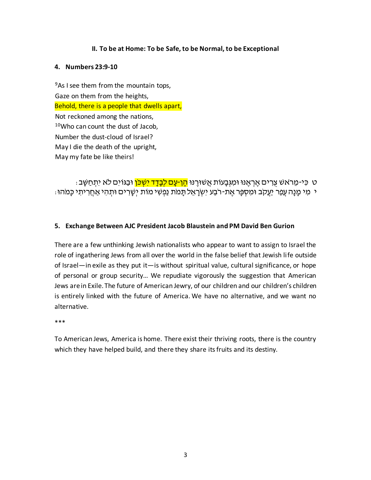#### **II. To be at Home: To be Safe, to be Normal, to be Exceptional**

#### **4. Numbers 23:9-10**

 $9$ As I see them from the mountain tops, Gaze on them from the heights, Behold, there is a people that dwells apart, Not reckoned among the nations, 10Who can count the dust of Jacob, Number the dust-cloud of Israel? May I die the death of the upright, May my fate be like theirs!

ט כִּי-מֵרֹאשׁ צַרְים אֱרְאֱנּוּ וּמִגְּבַעוֹת אֲשׁוּרֵנּוּ <mark>הֵן-עַם לְבַדַד יִשְׁכֹּן</mark> וּבַגּוֹיִם לֹא יִתְחַשַּׁב : ּי מִי מַנַה עֵפַר יַעֲקֹב וּמִסְפֵּר אֱת-רֹבַע יִשְׂרָאֱל תַּמֹת נַפְשִׁי מוֹת יְשַׁרִים וּתְהִי אֲחֲרִיתִי כַּמֹהוּ

#### **5. Exchange Between AJC President Jacob Blaustein and PM David Ben Gurion**

There are a few unthinking Jewish nationalists who appear to want to assign to Israel the role of ingathering Jews from all over the world in the false belief that Jewish life outside of Israel—in exile as they put it—is without spiritual value, cultural significance, or hope of personal or group security… We repudiate vigorously the suggestion that American Jews are in Exile. The future of American Jewry, of our children and our children's children is entirely linked with the future of America. We have no alternative, and we want no alternative.

\*\*\*

To American Jews, America is home. There exist their thriving roots, there is the country which they have helped build, and there they share its fruits and its destiny.